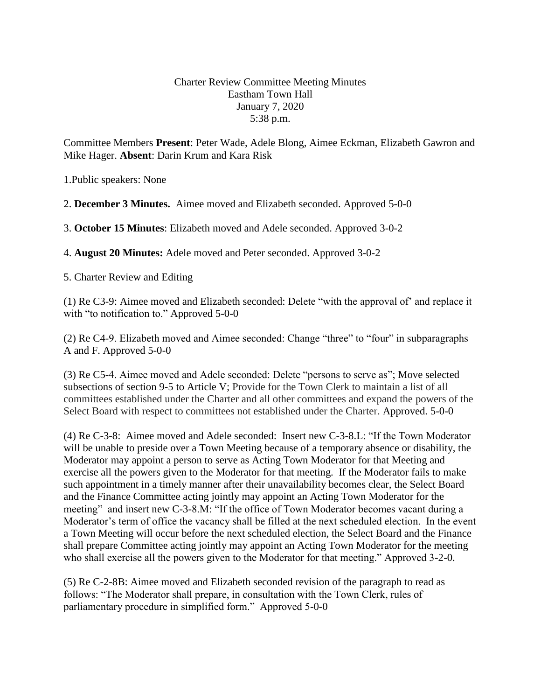## Charter Review Committee Meeting Minutes Eastham Town Hall January 7, 2020 5:38 p.m.

Committee Members **Present**: Peter Wade, Adele Blong, Aimee Eckman, Elizabeth Gawron and Mike Hager. **Absent**: Darin Krum and Kara Risk

1.Public speakers: None

2. **December 3 Minutes.** Aimee moved and Elizabeth seconded. Approved 5-0-0

3. **October 15 Minutes**: Elizabeth moved and Adele seconded. Approved 3-0-2

4. **August 20 Minutes:** Adele moved and Peter seconded. Approved 3-0-2

5. Charter Review and Editing

(1) Re C3-9: Aimee moved and Elizabeth seconded: Delete "with the approval of' and replace it with "to notification to." Approved 5-0-0

(2) Re C4-9. Elizabeth moved and Aimee seconded: Change "three" to "four" in subparagraphs A and F. Approved 5-0-0

(3) Re C5-4. Aimee moved and Adele seconded: Delete "persons to serve as"; Move selected subsections of section 9-5 to Article V; Provide for the Town Clerk to maintain a list of all committees established under the Charter and all other committees and expand the powers of the Select Board with respect to committees not established under the Charter. Approved. 5-0-0

(4) Re C-3-8: Aimee moved and Adele seconded: Insert new C-3-8.L: "If the Town Moderator will be unable to preside over a Town Meeting because of a temporary absence or disability, the Moderator may appoint a person to serve as Acting Town Moderator for that Meeting and exercise all the powers given to the Moderator for that meeting. If the Moderator fails to make such appointment in a timely manner after their unavailability becomes clear, the Select Board and the Finance Committee acting jointly may appoint an Acting Town Moderator for the meeting" and insert new C-3-8.M: "If the office of Town Moderator becomes vacant during a Moderator's term of office the vacancy shall be filled at the next scheduled election. In the event a Town Meeting will occur before the next scheduled election, the Select Board and the Finance shall prepare Committee acting jointly may appoint an Acting Town Moderator for the meeting who shall exercise all the powers given to the Moderator for that meeting." Approved 3-2-0.

(5) Re C-2-8B: Aimee moved and Elizabeth seconded revision of the paragraph to read as follows: "The Moderator shall prepare, in consultation with the Town Clerk, rules of parliamentary procedure in simplified form." Approved 5-0-0